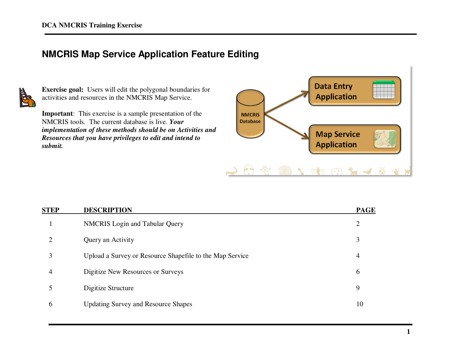# **NMCRIS Map Service Application Feature Editing**



**Exercise goal:** Users will edit the polygonal boundaries for activities and resources in the NMCRIS Map Service.

**Important**: This exercise is a sample presentation of the NMCRIS tools. The current database is live. *Your implementation of these methods should be on Activities and Resources that you have privileges to edit and intend to submit.* 



| <b>STEP</b> | <b>DESCRIPTION</b>                                       | <b>PAGE</b> |  |  |
|-------------|----------------------------------------------------------|-------------|--|--|
|             | <b>NMCRIS</b> Login and Tabular Query                    | 2           |  |  |
|             | Query an Activity                                        | 3           |  |  |
|             | Upload a Survey or Resource Shapefile to the Map Service | 4           |  |  |
| 4           | Digitize New Resources or Surveys                        | 6           |  |  |
|             | Digitize Structure                                       | 9           |  |  |
| 6           | <b>Updating Survey and Resource Shapes</b>               | 10          |  |  |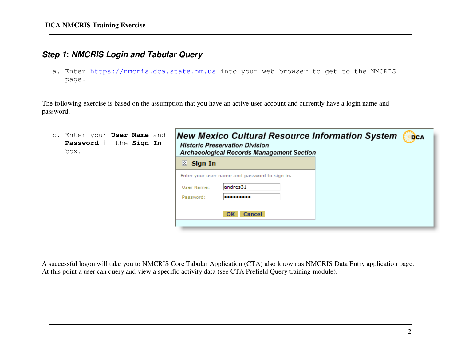# **Step 1: NMCRIS Login and Tabular Query**

a. Enter <u>https://nmcris.dca.state.nm.us</u> into your web browser to get to the NMCRIS page.

The following exercise is based on the assumption that you have an active user account and currently have a login name and password.

| b. Enter your User Name and<br>Password in the Sign In<br>box. | <b>New Mexico Cultural Resource Information System</b><br><b>DCA</b><br><b>Historic Preservation Division</b><br><b>Archaeological Records Management Section</b> |  |  |  |  |
|----------------------------------------------------------------|-------------------------------------------------------------------------------------------------------------------------------------------------------------------|--|--|--|--|
|                                                                | $\otimes$ Sign In                                                                                                                                                 |  |  |  |  |
|                                                                | Enter your user name and password to sign in.                                                                                                                     |  |  |  |  |
|                                                                | andres31<br>User Name:                                                                                                                                            |  |  |  |  |
|                                                                | Password:<br>                                                                                                                                                     |  |  |  |  |
|                                                                | <b>Cancel</b><br>OK                                                                                                                                               |  |  |  |  |
|                                                                |                                                                                                                                                                   |  |  |  |  |

A successful logon will take you to NMCRIS Core Tabular Application (CTA) also known as NMCRIS Data Entry application page. At this point a user can query and view a specific activity data (see CTA Prefield Query training module).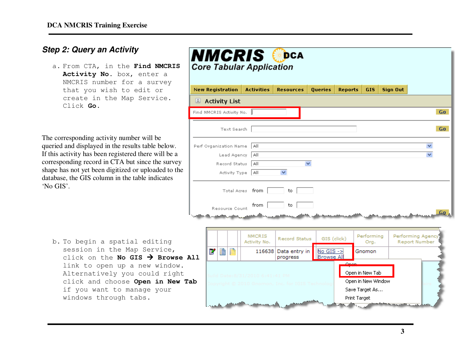### **Step 2: Query an Activity**

a. From CTA, in the **Find NMCRIS**  Activity No. box, enter a NMCRIS number for a survey that you wish to edit or create in the Map Service. Click **Go**.

The corresponding activity number will be queried and displayed in the results table below. If this activity has been registered there will be a corresponding record in CTA but since the survey shape has not yet been digitized or uploaded to the database, the GIS column in the table indicates 'No GIS'.

b. To begin a spatial editing session in the Map Service, click on the **No GIS Browse All**link to open up a new window. Alternatively you could right click and choose **Open in New Tab**if you want to manage your windows through tabs.

| <b>NMCRIS</b><br>DCA<br><b>Core Tabular Application</b> |                                                                                                                                          |   |             |                               |                           |                                   |                |                    |                 |                                           |  |  |  |
|---------------------------------------------------------|------------------------------------------------------------------------------------------------------------------------------------------|---|-------------|-------------------------------|---------------------------|-----------------------------------|----------------|--------------------|-----------------|-------------------------------------------|--|--|--|
| <b>New Registration</b>                                 |                                                                                                                                          |   |             | <b>Activities</b>             | <b>Resources</b>          | <b>Queries</b>                    | <b>Reports</b> | GIS.               | <b>Sign Out</b> |                                           |  |  |  |
| Activity List                                           |                                                                                                                                          |   |             |                               |                           |                                   |                |                    |                 |                                           |  |  |  |
| Find NMCRIS Activity No.                                |                                                                                                                                          |   |             |                               |                           |                                   |                |                    |                 | Go.                                       |  |  |  |
|                                                         |                                                                                                                                          |   | Text Search |                               |                           |                                   |                |                    |                 | Go.                                       |  |  |  |
| Perf Organization Name<br>  All                         |                                                                                                                                          |   |             |                               |                           |                                   |                |                    |                 |                                           |  |  |  |
| Lead Agency<br>  All                                    |                                                                                                                                          |   |             |                               |                           |                                   |                |                    |                 |                                           |  |  |  |
| Record Status<br>v<br>  All                             |                                                                                                                                          |   |             |                               |                           |                                   |                |                    |                 |                                           |  |  |  |
| $\checkmark$<br>Activity Type<br>l All                  |                                                                                                                                          |   |             |                               |                           |                                   |                |                    |                 |                                           |  |  |  |
| Total Acres from<br>to                                  |                                                                                                                                          |   |             |                               |                           |                                   |                |                    |                 |                                           |  |  |  |
| from<br>to<br>Resource Count<br>Ga                      |                                                                                                                                          |   |             |                               |                           |                                   |                |                    |                 |                                           |  |  |  |
|                                                         |                                                                                                                                          |   |             |                               |                           |                                   |                |                    |                 |                                           |  |  |  |
|                                                         |                                                                                                                                          |   |             | <b>NMCRIS</b><br>Activity No. | <b>Record Status</b>      | GIS (click)                       |                | Performing<br>Org. |                 | Performing Agency<br><b>Report Number</b> |  |  |  |
| <b>A11</b>                                              | Ľ                                                                                                                                        | B | Ħ           | 116638                        | Data entry in<br>progress | $No GIS - >$<br><b>Browse All</b> |                | Gnomon             |                 |                                           |  |  |  |
| ab                                                      | صحت<br>Open in New Tab<br>:8/31/2010 6:41:41 PM<br>Open in New Window<br>omon. Inc. for IGIS Technolog<br>Save Target As<br>Print Target |   |             |                               |                           |                                   |                |                    |                 |                                           |  |  |  |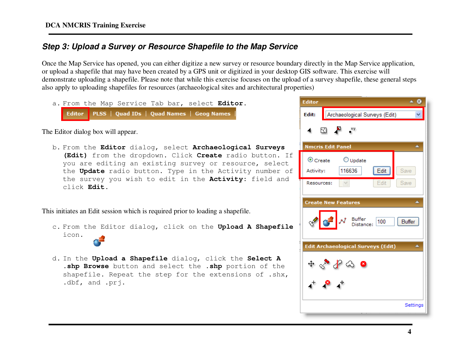## **Step 3: Upload a Survey or Resource Shapefile to the Map Service**

Once the Map Service has opened, you can either digitize a new survey or resource boundary directly in the Map Service application, or upload a shapefile that may have been created by a GPS unit or digitized in your desktop GIS software. This exercise will demonstrate uploading a shapefile. Please note that while this exercise focuses on the upload of a survey shapefile, these general steps also apply to uploading shapefiles for resources (archaeological sites and architectural properties)

a. From the Map Service Tab bar, select **Editor**. Editor PLSS | Quad IDs | Quad Names | Geog Names

The Editor dialog box will appear.

b. From the **Editor** dialog, select **Archaeological Surveys (Edit)** from the dropdown. Click **Create** radio button. If you are editing an existing survey or resource, select the **Update** radio button. Type in the Activity number of the survey you wish to edit in the **Activity:** field and click **Edit**.

This initiates an Edit session which is required prior to loading a shapefile.

- c. From the Editor dialog, click on the **Upload A Shapefile** icon**.**
- d. In the **Upload a Shapefile** dialog, click the **Select A .shp Browse** button and select the **.shp** portion of the shapefile. Repeat the step for the extensions of .shx, .dbf, and .prj.

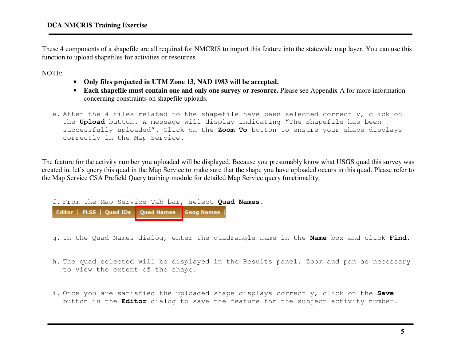These 4 components of a shapefile are all required for NMCRIS to import this feature into the statewide map layer. You can use this function to upload shapefiles for activities or resources.

NOTE:

- **Only files projected in UTM Zone 13, NAD 1983 will be accepted.**
- **Each shapefile must contain one and only one survey or resource.** Please see Appendix A for more information concerning constraints on shapefile uploads.
- e. After the 4 files related to the shapefile have been selected correctly, click on the **Upload** button. A message will display indicating "The Shapefile has been successfully uploaded". Click on the **Zoom To** button to ensure your shape displays correctly in the Map Service.

The feature for the activity number you uploaded will be displayed. Because you presumably know what USGS quad this survey was created in, let's query this quad in the Map Service to make sure that the shape you have uploaded occurs in this quad. Please refer to the Map Service CSA Prefield Query training module for detailed Map Service query functionality.

f. From the Map Service Tab bar, select **Quad Names**. Editor | PLSS | Quad IDs | Quad Names | Geog Names

g. In the Quad Names dialog, enter the quadrangle name in the **Name** box and click **Find**.

- h. The quad selected will be displayed in the Results panel. Zoom and pan as necessary to view the extent of the shape.
- i. Once you are satisfied the uploaded shape displays correctly, click on the **Save** button in the **Editor** dialog to save the feature for the subject activity number.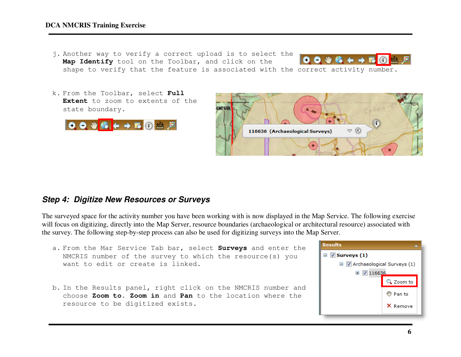#### **DCA NMCRIS Training Exercise**

- j. Another way to verify a correct upload is to select the  $0.046 + F0$ **Map Identify** tool on the Toolbar, and click on the shape to verify that the feature is associated with the correct activity number.
- k. From the Toolbar, select **Full Extent** to zoom to extents of the state boundary.





### **Step 4: Digitize New Resources or Surveys**

The surveyed space for the activity number you have been working with is now displayed in the Map Service. The following exercise will focus on digitizing, directly into the Map Server, resource boundaries (archaeological or architectural resource) associated with the survey. The following step-by-step process can also be used for digitizing surveys into the Map Server.

- a. From the Mar Service Tab bar, select **Surveys** and enter the NMCRIS number of the survey to which the resource(s) you want to edit or create is linked.
- b. In the Results panel, right click on the NMCRIS number and choose **Zoom to**. **Zoom in** and **Pan** to the location where the resource to be digitized exists.

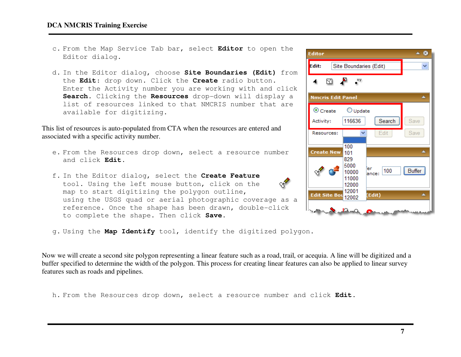#### **DCA NMCRIS Training Exercise**

- c. From the Map Service Tab bar, select **Editor** to open the Editor dialog.
- d. In the Editor dialog, choose **Site Boundaries (Edit)** from the **Edit**: drop down. Click the **Create** radio button. Enter the Activity number you are working with and click **Search.** Clicking the **Resources** drop-down will display a list of resources linked to that NMCRIS number that are available for digitizing.

This list of resources is auto-populated from CTA when the resources are entered and associated with a specific activity number.

- e. From the Resources drop down, select a resource number and click **Edit**.
- f. In the Editor dialog, select the **Create Feature** tool. Using the left mouse button, click on the map to start digitizing the polygon outline, using the USGS quad or aerial photographic coverage as a reference. Once the shape has been drawn, double-click to complete the shape. Then click **Save**.
- g. Using the **Map Identify** tool, identify the digitized polygon.

Now we will create a second site polygon representing a linear feature such as a road, trail, or acequia. A line will be digitized and a buffer specified to determine the width of the polygon. This process for creating linear features can also be applied to linear survey features such as roads and pipelines.

h. From the Resources drop down, select a resource number and click **Edit.**

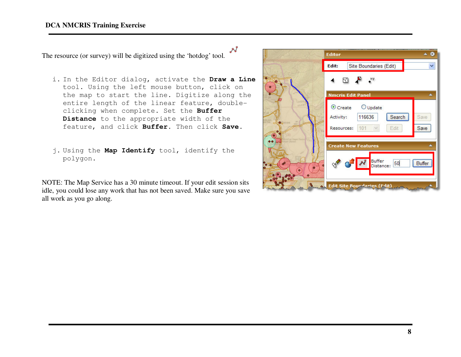#### **DCA NMCRIS Training Exercise**

The resource (or survey) will be digitized using the 'hotdog' tool.

- i. In the Editor dialog, activate the **Draw a Line** tool. Using the left mouse button, click on the map to start the line. Digitize along the entire length of the linear feature, doubleclicking when complete. Set the **Buffer Distance** to the appropriate width of the feature, and click **Buffer**. Then click **Save**.
- j. Using the **Map Identify** tool, identify the polygon.

NOTE: The Map Service has a 30 minute timeout. If your edit session sits idle, you could lose any work that has not been saved. Make sure you save all work as you go along.

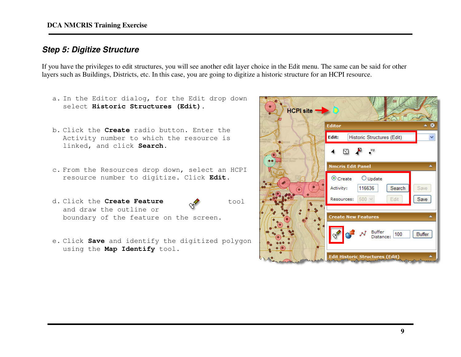### **Step 5: Digitize Structure**

If you have the privileges to edit structures, you will see another edit layer choice in the Edit menu. The same can be said for other layers such as Buildings, Districts, etc. In this case, you are going to digitize a historic structure for an HCPI resource.

a. In the Editor dialog, for the Edit drop down select **Historic Structures (Edit)**. HCPI site -**Editor** b. Click the **Create** radio button. Enter the Edit: Historic Structures (Edit) Activity number to which the resource is linked, and click **Search**. ⊠ ♪ \*\* **Nmcris Edit Panel** × c. From the Resources drop down, select an HCPI resource number to digitize. Click **Edit**.  $\odot$  Create  $O$  Update Activity: 116636 Search Save Resources: 500 Edit Save d. Click the **Create Feature** tool and draw the outline or **Create New Features**  boundary of the feature on the screen. Buffer 100 Buffer Distance: e. Click **Save** and identify the digitized polygon using the **Map Identify** tool. **Edit Historic Structures (Edit)**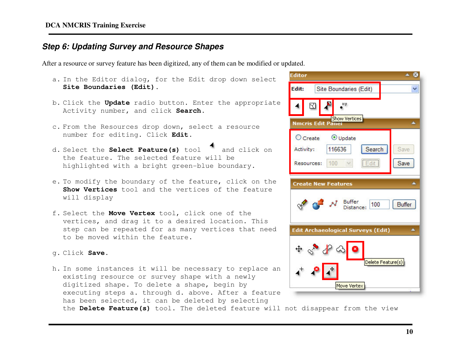### **Step 6: Updating Survey and Resource Shapes**

After a resource or survey feature has been digitized, any of them can be modified or updated.

- a. In the Editor dialog, for the Edit drop down select<br>- The Total County of the County of the County of the Edit drop down select **Site Boundaries (Edit)**.
- b. Click the **Update** radio button. Enter the appropriate Activity number, and click **Search**.
- c. From the Resources drop down, select a resource<br>Control of the control of the set of the set of the set of the set of the set of the set of the set of the set number for editing. Click **Edit**.
- d. Select the **Select Feature(s)** tool and click on the feature. The selected feature will be highlighted with a bright green-blue boundary.
- e. To modify the boundary of the feature, click on the **Show Vertices** tool and the vertices of the feature will display
- f. Select the **Move Vertex** tool, click one of the vertices, and drag it to a desired location. This step can be repeated for as many vertices that need to be moved within the feature.
- g. Click **Save**.
- h. In some instances it will be necessary to replace an existing resource or survey shape with a newly digitized shape. To delete a shape, begin by executing steps a. through d. above. After a feature has been selected, it can be deleted by selecting



the **Delete Feature(s)** tool. The deleted feature will not disappear from the view